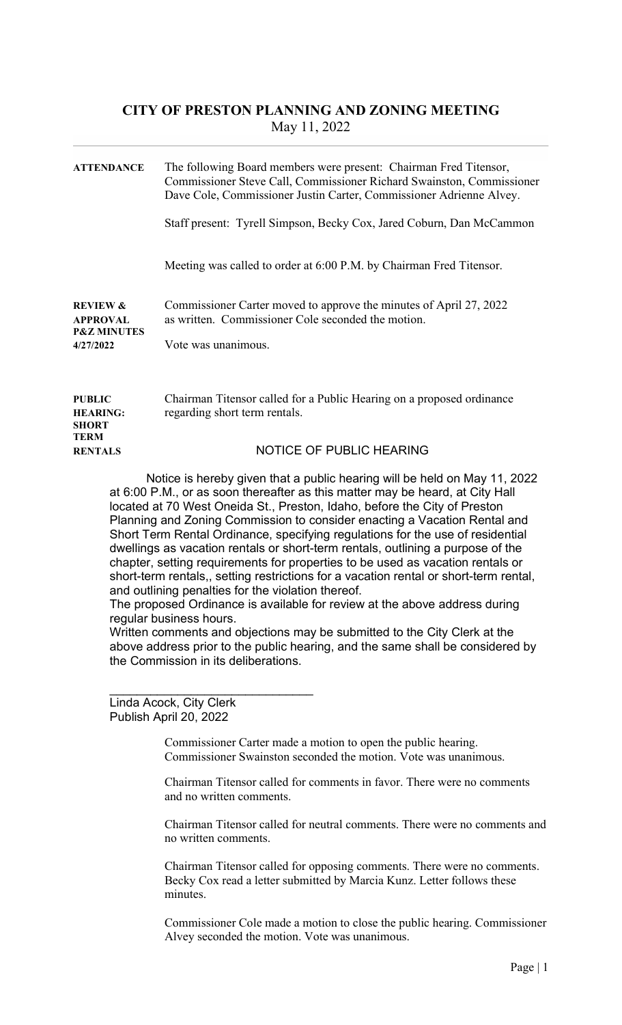## CITY OF PRESTON PLANNING AND ZONING MEETING May 11, 2022

| <b>ATTENDANCE</b>                                                             | The following Board members were present: Chairman Fred Titensor,<br>Commissioner Steve Call, Commissioner Richard Swainston, Commissioner<br>Dave Cole, Commissioner Justin Carter, Commissioner Adrienne Alvey. |
|-------------------------------------------------------------------------------|-------------------------------------------------------------------------------------------------------------------------------------------------------------------------------------------------------------------|
|                                                                               | Staff present: Tyrell Simpson, Becky Cox, Jared Coburn, Dan McCammon                                                                                                                                              |
|                                                                               | Meeting was called to order at 6:00 P.M. by Chairman Fred Titensor.                                                                                                                                               |
| <b>REVIEW &amp;</b><br><b>APPROVAL</b><br><b>P&amp;Z MINUTES</b><br>4/27/2022 | Commissioner Carter moved to approve the minutes of April 27, 2022<br>as written. Commissioner Cole seconded the motion.<br>Vote was unanimous.                                                                   |
| <b>PUBLIC</b><br><b>HEARING:</b><br><b>SHORT</b>                              | Chairman Titensor called for a Public Hearing on a proposed ordinance<br>regarding short term rentals.                                                                                                            |
| <b>TERM</b><br><b>RENTALS</b>                                                 | NOTICE OF PUBLIC HEARING                                                                                                                                                                                          |

Notice is hereby given that a public hearing will be held on May 11, 2022 at 6:00 P.M., or as soon thereafter as this matter may be heard, at City Hall located at 70 West Oneida St., Preston, Idaho, before the City of Preston Planning and Zoning Commission to consider enacting a Vacation Rental and Short Term Rental Ordinance, specifying regulations for the use of residential dwellings as vacation rentals or short-term rentals, outlining a purpose of the chapter, setting requirements for properties to be used as vacation rentals or short-term rentals,, setting restrictions for a vacation rental or short-term rental, and outlining penalties for the violation thereof.

The proposed Ordinance is available for review at the above address during regular business hours.

Written comments and objections may be submitted to the City Clerk at the above address prior to the public hearing, and the same shall be considered by the Commission in its deliberations.

Linda Acock, City Clerk Publish April 20, 2022

\_\_\_\_\_\_\_\_\_\_\_\_\_\_\_\_\_\_\_\_\_\_\_\_\_\_\_\_\_\_

Commissioner Carter made a motion to open the public hearing. Commissioner Swainston seconded the motion. Vote was unanimous.

Chairman Titensor called for comments in favor. There were no comments and no written comments.

Chairman Titensor called for neutral comments. There were no comments and no written comments.

Chairman Titensor called for opposing comments. There were no comments. Becky Cox read a letter submitted by Marcia Kunz. Letter follows these minutes.

Commissioner Cole made a motion to close the public hearing. Commissioner Alvey seconded the motion. Vote was unanimous.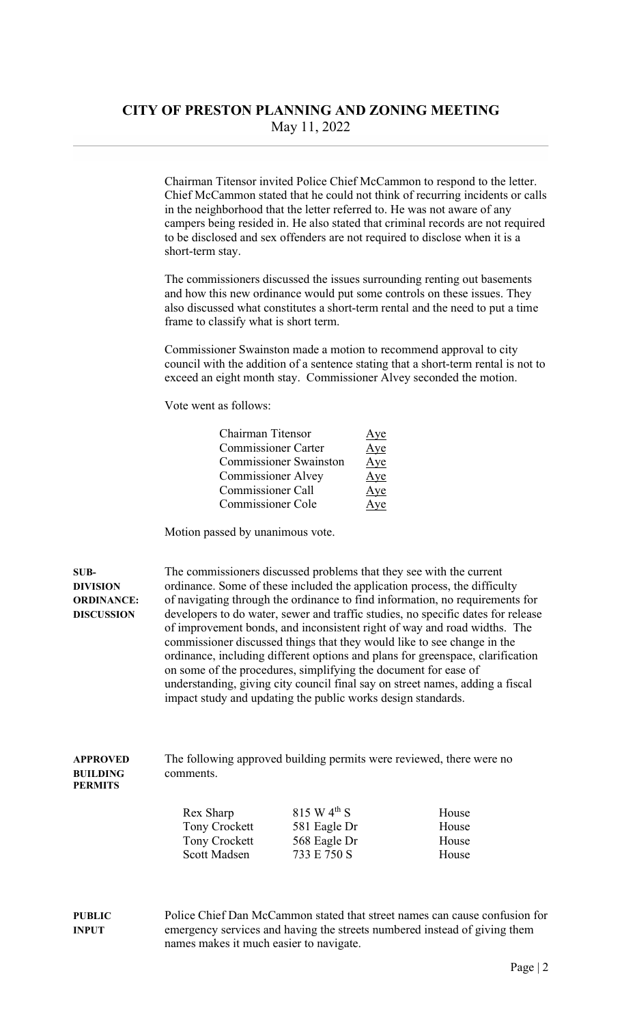Chairman Titensor invited Police Chief McCammon to respond to the letter. Chief McCammon stated that he could not think of recurring incidents or calls in the neighborhood that the letter referred to. He was not aware of any campers being resided in. He also stated that criminal records are not required to be disclosed and sex offenders are not required to disclose when it is a short-term stay.

The commissioners discussed the issues surrounding renting out basements and how this new ordinance would put some controls on these issues. They also discussed what constitutes a short-term rental and the need to put a time frame to classify what is short term.

Commissioner Swainston made a motion to recommend approval to city council with the addition of a sentence stating that a short-term rental is not to exceed an eight month stay. Commissioner Alvey seconded the motion.

Vote went as follows:

| Chairman Titensor             | Aye |
|-------------------------------|-----|
| <b>Commissioner Carter</b>    | Aye |
| <b>Commissioner Swainston</b> | Aye |
| <b>Commissioner Alvey</b>     | Aye |
| <b>Commissioner Call</b>      | Aye |
| Commissioner Cole             | Ave |

Motion passed by unanimous vote.

SUB- The commissioners discussed problems that they see with the current DIVISION ordinance. Some of these included the application process, the difficulty ORDINANCE: of navigating through the ordinance to find information, no requirements for DISCUSSION developers to do water, sewer and traffic studies, no specific dates for release of improvement bonds, and inconsistent right of way and road widths. The commissioner discussed things that they would like to see change in the ordinance, including different options and plans for greenspace, clarification on some of the procedures, simplifying the document for ease of understanding, giving city council final say on street names, adding a fiscal impact study and updating the public works design standards.

## APPROVED The following approved building permits were reviewed, there were no BUILDING comments. PERMITS

| Rex Sharp     | 815 W $4^{th}$ S | House |
|---------------|------------------|-------|
| Tony Crockett | 581 Eagle Dr     | House |
| Tony Crockett | 568 Eagle Dr     | House |
| Scott Madsen  | 733 E 750 S      | House |

PUBLIC Police Chief Dan McCammon stated that street names can cause confusion for INPUT emergency services and having the streets numbered instead of giving them names makes it much easier to navigate.